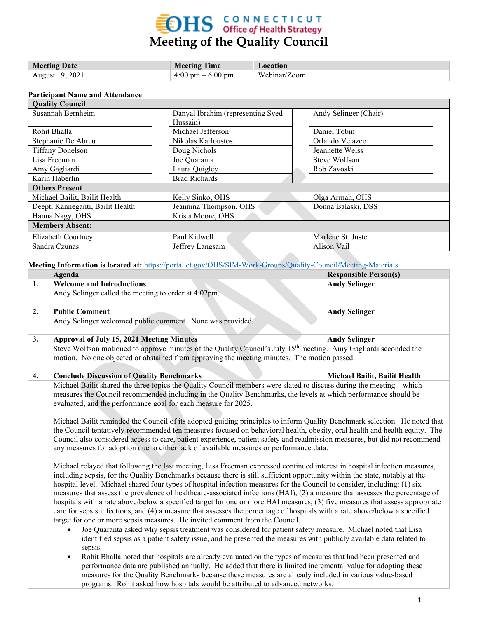# **EDHS** CONNECTICUT<br>
Meeting of the Quality Council

| <b>Meeting Date</b> | <b>Meeting Time</b>                 | Location     |
|---------------------|-------------------------------------|--------------|
| August 19, 2021     | $4:00 \text{ pm} - 6:00 \text{ pm}$ | Webinar/Zoom |

#### **Participant Name and Attendance**

| <b>Quality Council</b>                                     |                                   |  |                       |  |  |  |
|------------------------------------------------------------|-----------------------------------|--|-----------------------|--|--|--|
| Susannah Bernheim                                          | Danyal Ibrahim (representing Syed |  | Andy Selinger (Chair) |  |  |  |
|                                                            | Hussain)<br>Michael Jefferson     |  |                       |  |  |  |
| Rohit Bhalla                                               |                                   |  | Daniel Tobin          |  |  |  |
| Stephanie De Abreu                                         | Nikolas Karloustos                |  | Orlando Velazco       |  |  |  |
| <b>Tiffany Donelson</b>                                    | Doug Nichols                      |  | Jeannette Weiss       |  |  |  |
| Lisa Freeman                                               | Joe Quaranta                      |  | Steve Wolfson         |  |  |  |
| Amy Gagliardi                                              | Laura Quigley                     |  | Rob Zavoski           |  |  |  |
| Karin Haberlin                                             | <b>Brad Richards</b>              |  |                       |  |  |  |
| <b>Others Present</b>                                      |                                   |  |                       |  |  |  |
| Michael Bailit, Bailit Health<br>Kelly Sinko, OHS          |                                   |  | Olga Armah, OHS       |  |  |  |
| Deepti Kanneganti, Bailit Health<br>Jeannina Thompson, OHS |                                   |  | Donna Balaski, DSS    |  |  |  |
| Hanna Nagy, OHS<br>Krista Moore, OHS                       |                                   |  |                       |  |  |  |
| <b>Members Absent:</b>                                     |                                   |  |                       |  |  |  |
| Elizabeth Courtney                                         | Paul Kidwell                      |  | Marlene St. Juste     |  |  |  |
| Sandra Czunas                                              | Jeffrey Langsam                   |  | Alison Vail           |  |  |  |

**Meeting Information is located at:** <https://portal.ct.gov/OHS/SIM-Work-Groups/Quality-Council/Meeting-Materials>

|    | Agenda                                                                                                                                                                                                                                                                                                                                                                                                                                                                                                                                                                                                                                                                                                                                                                                                                                                                                                                                                                                                                                                                                                                                                                                                                                                                                                                                                                                                                                                                                                                                                      | <b>Responsible Person(s)</b>  |  |  |  |  |
|----|-------------------------------------------------------------------------------------------------------------------------------------------------------------------------------------------------------------------------------------------------------------------------------------------------------------------------------------------------------------------------------------------------------------------------------------------------------------------------------------------------------------------------------------------------------------------------------------------------------------------------------------------------------------------------------------------------------------------------------------------------------------------------------------------------------------------------------------------------------------------------------------------------------------------------------------------------------------------------------------------------------------------------------------------------------------------------------------------------------------------------------------------------------------------------------------------------------------------------------------------------------------------------------------------------------------------------------------------------------------------------------------------------------------------------------------------------------------------------------------------------------------------------------------------------------------|-------------------------------|--|--|--|--|
| 1. | <b>Welcome and Introductions</b>                                                                                                                                                                                                                                                                                                                                                                                                                                                                                                                                                                                                                                                                                                                                                                                                                                                                                                                                                                                                                                                                                                                                                                                                                                                                                                                                                                                                                                                                                                                            | <b>Andy Selinger</b>          |  |  |  |  |
|    | Andy Selinger called the meeting to order at 4:02pm.                                                                                                                                                                                                                                                                                                                                                                                                                                                                                                                                                                                                                                                                                                                                                                                                                                                                                                                                                                                                                                                                                                                                                                                                                                                                                                                                                                                                                                                                                                        |                               |  |  |  |  |
| 2. | <b>Public Comment</b>                                                                                                                                                                                                                                                                                                                                                                                                                                                                                                                                                                                                                                                                                                                                                                                                                                                                                                                                                                                                                                                                                                                                                                                                                                                                                                                                                                                                                                                                                                                                       | <b>Andy Selinger</b>          |  |  |  |  |
|    | Andy Selinger welcomed public comment. None was provided.                                                                                                                                                                                                                                                                                                                                                                                                                                                                                                                                                                                                                                                                                                                                                                                                                                                                                                                                                                                                                                                                                                                                                                                                                                                                                                                                                                                                                                                                                                   |                               |  |  |  |  |
| 3. | <b>Approval of July 15, 2021 Meeting Minutes</b>                                                                                                                                                                                                                                                                                                                                                                                                                                                                                                                                                                                                                                                                                                                                                                                                                                                                                                                                                                                                                                                                                                                                                                                                                                                                                                                                                                                                                                                                                                            | <b>Andy Selinger</b>          |  |  |  |  |
|    | Steve Wolfson motioned to approve minutes of the Quality Council's July 15 <sup>th</sup> meeting. Amy Gagliardi seconded the<br>motion. No one objected or abstained from approving the meeting minutes. The motion passed.                                                                                                                                                                                                                                                                                                                                                                                                                                                                                                                                                                                                                                                                                                                                                                                                                                                                                                                                                                                                                                                                                                                                                                                                                                                                                                                                 |                               |  |  |  |  |
| 4. | <b>Conclude Discussion of Quality Benchmarks</b>                                                                                                                                                                                                                                                                                                                                                                                                                                                                                                                                                                                                                                                                                                                                                                                                                                                                                                                                                                                                                                                                                                                                                                                                                                                                                                                                                                                                                                                                                                            | Michael Bailit, Bailit Health |  |  |  |  |
|    | Michael Bailit shared the three topics the Quality Council members were slated to discuss during the meeting – which<br>measures the Council recommended including in the Quality Benchmarks, the levels at which performance should be<br>evaluated, and the performance goal for each measure for 2025.<br>Michael Bailit reminded the Council of its adopted guiding principles to inform Quality Benchmark selection. He noted that<br>the Council tentatively recommended ten measures focused on behavioral health, obesity, oral health and health equity. The<br>Council also considered access to care, patient experience, patient safety and readmission measures, but did not recommend<br>any measures for adoption due to either lack of available measures or performance data.                                                                                                                                                                                                                                                                                                                                                                                                                                                                                                                                                                                                                                                                                                                                                              |                               |  |  |  |  |
|    | Michael relayed that following the last meeting, Lisa Freeman expressed continued interest in hospital infection measures,<br>including sepsis, for the Quality Benchmarks because there is still sufficient opportunity within the state, notably at the<br>hospital level. Michael shared four types of hospital infection measures for the Council to consider, including: (1) six<br>measures that assess the prevalence of healthcare-associated infections (HAI), (2) a measure that assesses the percentage of<br>hospitals with a rate above/below a specified target for one or more HAI measures, (3) five measures that assess appropriate<br>care for sepsis infections, and (4) a measure that assesses the percentage of hospitals with a rate above/below a specified<br>target for one or more sepsis measures. He invited comment from the Council.<br>Joe Quaranta asked why sepsis treatment was considered for patient safety measure. Michael noted that Lisa<br>identified sepsis as a patient safety issue, and he presented the measures with publicly available data related to<br>sepsis.<br>Rohit Bhalla noted that hospitals are already evaluated on the types of measures that had been presented and<br>$\bullet$<br>performance data are published annually. He added that there is limited incremental value for adopting these<br>measures for the Quality Benchmarks because these measures are already included in various value-based<br>programs. Rohit asked how hospitals would be attributed to advanced networks. |                               |  |  |  |  |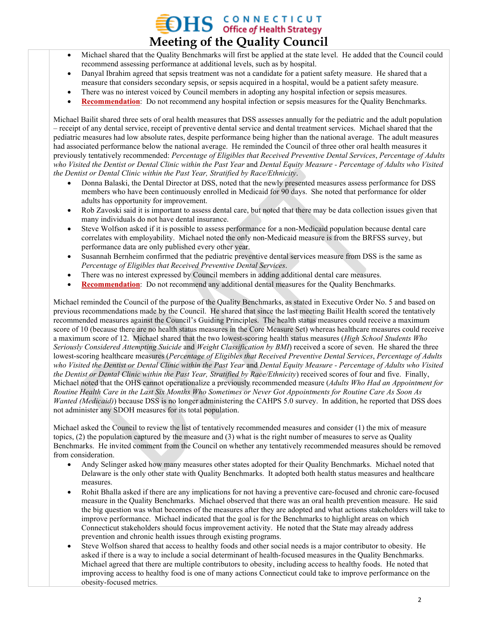## **OHS GONNECTICUT Meeting of the Quality Council**

- Michael shared that the Quality Benchmarks will first be applied at the state level. He added that the Council could recommend assessing performance at additional levels, such as by hospital.
- Danyal Ibrahim agreed that sepsis treatment was not a candidate for a patient safety measure. He shared that a measure that considers secondary sepsis, or sepsis acquired in a hospital, would be a patient safety measure.
- There was no interest voiced by Council members in adopting any hospital infection or sepsis measures.
- **Recommendation**: Do not recommend any hospital infection or sepsis measures for the Quality Benchmarks.

Michael Bailit shared three sets of oral health measures that DSS assesses annually for the pediatric and the adult population – receipt of any dental service, receipt of preventive dental service and dental treatment services. Michael shared that the pediatric measures had low absolute rates, despite performance being higher than the national average. The adult measures had associated performance below the national average. He reminded the Council of three other oral health measures it previously tentatively recommended: *Percentage of Eligibles that Received Preventive Dental Services*, *Percentage of Adults who Visited the Dentist or Dental Clinic within the Past Year* and *Dental Equity Measure - Percentage of Adults who Visited the Dentist or Dental Clinic within the Past Year, Stratified by Race/Ethnicity*.

- Donna Balaski, the Dental Director at DSS, noted that the newly presented measures assess performance for DSS members who have been continuously enrolled in Medicaid for 90 days. She noted that performance for older adults has opportunity for improvement.
- Rob Zavoski said it is important to assess dental care, but noted that there may be data collection issues given that many individuals do not have dental insurance.
- Steve Wolfson asked if it is possible to assess performance for a non-Medicaid population because dental care correlates with employability. Michael noted the only non-Medicaid measure is from the BRFSS survey, but performance data are only published every other year.
- Susannah Bernheim confirmed that the pediatric preventive dental services measure from DSS is the same as *Percentage of Eligibles that Received Preventive Dental Services*.
- There was no interest expressed by Council members in adding additional dental care measures.
- **Recommendation**: Do not recommend any additional dental measures for the Quality Benchmarks.

Michael reminded the Council of the purpose of the Quality Benchmarks, as stated in Executive Order No. 5 and based on previous recommendations made by the Council. He shared that since the last meeting Bailit Health scored the tentatively recommended measures against the Council's Guiding Principles. The health status measures could receive a maximum score of 10 (because there are no health status measures in the Core Measure Set) whereas healthcare measures could receive a maximum score of 12. Michael shared that the two lowest-scoring health status measures (*High School Students Who Seriously Considered Attempting Suicide* and *Weight Classification by BMI*) received a score of seven. He shared the three lowest-scoring healthcare measures (*Percentage of Eligibles that Received Preventive Dental Services*, *Percentage of Adults who Visited the Dentist or Dental Clinic within the Past Year* and *Dental Equity Measure - Percentage of Adults who Visited the Dentist or Dental Clinic within the Past Year, Stratified by Race/Ethnicity*) received scores of four and five. Finally, Michael noted that the OHS cannot operationalize a previously recommended measure (*Adults Who Had an Appointment for Routine Health Care in the Last Six Months Who Sometimes or Never Got Appointments for Routine Care As Soon As Wanted (Medicaid)*) because DSS is no longer administering the CAHPS 5.0 survey. In addition, he reported that DSS does not administer any SDOH measures for its total population.

Michael asked the Council to review the list of tentatively recommended measures and consider (1) the mix of measure topics, (2) the population captured by the measure and (3) what is the right number of measures to serve as Quality Benchmarks. He invited comment from the Council on whether any tentatively recommended measures should be removed from consideration.

- Andy Selinger asked how many measures other states adopted for their Quality Benchmarks. Michael noted that Delaware is the only other state with Quality Benchmarks. It adopted both health status measures and healthcare measures.
- Rohit Bhalla asked if there are any implications for not having a preventive care-focused and chronic care-focused measure in the Quality Benchmarks. Michael observed that there was an oral health prevention measure. He said the big question was what becomes of the measures after they are adopted and what actions stakeholders will take to improve performance. Michael indicated that the goal is for the Benchmarks to highlight areas on which Connecticut stakeholders should focus improvement activity. He noted that the State may already address prevention and chronic health issues through existing programs.
- Steve Wolfson shared that access to healthy foods and other social needs is a major contributor to obesity. He asked if there is a way to include a social determinant of health-focused measures in the Quality Benchmarks. Michael agreed that there are multiple contributors to obesity, including access to healthy foods. He noted that improving access to healthy food is one of many actions Connecticut could take to improve performance on the obesity-focused metrics.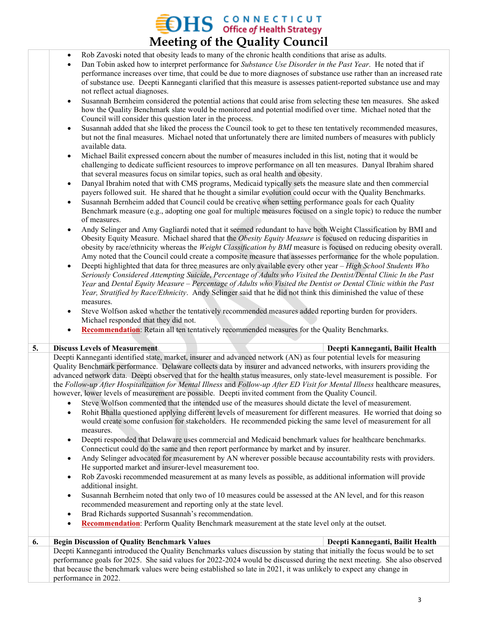## $\sum_{\text{office of Health Strategy}}$ **Meeting of the Quality Council**

- Rob Zavoski noted that obesity leads to many of the chronic health conditions that arise as adults.
- Dan Tobin asked how to interpret performance for *Substance Use Disorder in the Past Year*. He noted that if performance increases over time, that could be due to more diagnoses of substance use rather than an increased rate of substance use. Deepti Kanneganti clarified that this measure is assesses patient-reported substance use and may not reflect actual diagnoses.
- Susannah Bernheim considered the potential actions that could arise from selecting these ten measures. She asked how the Quality Benchmark slate would be monitored and potential modified over time. Michael noted that the Council will consider this question later in the process.
- Susannah added that she liked the process the Council took to get to these ten tentatively recommended measures, but not the final measures. Michael noted that unfortunately there are limited numbers of measures with publicly available data.
- Michael Bailit expressed concern about the number of measures included in this list, noting that it would be challenging to dedicate sufficient resources to improve performance on all ten measures. Danyal Ibrahim shared that several measures focus on similar topics, such as oral health and obesity.
- Danyal Ibrahim noted that with CMS programs, Medicaid typically sets the measure slate and then commercial payers followed suit. He shared that he thought a similar evolution could occur with the Quality Benchmarks.
- Susannah Bernheim added that Council could be creative when setting performance goals for each Quality Benchmark measure (e.g., adopting one goal for multiple measures focused on a single topic) to reduce the number of measures.
- Andy Selinger and Amy Gagliardi noted that it seemed redundant to have both Weight Classification by BMI and Obesity Equity Measure. Michael shared that the *Obesity Equity Measure* is focused on reducing disparities in obesity by race/ethnicity whereas the *Weight Classification by BMI* measure is focused on reducing obesity overall. Amy noted that the Council could create a composite measure that assesses performance for the whole population.
- Deepti highlighted that data for three measures are only available every other year *High School Students Who Seriously Considered Attempting Suicide*, *Percentage of Adults who Visited the Dentist/Dental Clinic In the Past Year* and *Dental Equity Measure – Percentage of Adults who Visited the Dentist or Dental Clinic within the Past Year, Stratified by Race/Ethnicity*. Andy Selinger said that he did not think this diminished the value of these measures.
- Steve Wolfson asked whether the tentatively recommended measures added reporting burden for providers. Michael responded that they did not.
- **Recommendation**: Retain all ten tentatively recommended measures for the Quality Benchmarks.

#### **5. Discuss Levels of Measurement Deepti Kanneganti, Bailit Health**

Deepti Kanneganti identified state, market, insurer and advanced network (AN) as four potential levels for measuring Quality Benchmark performance. Delaware collects data by insurer and advanced networks, with insurers providing the advanced network data. Deepti observed that for the health status measures, only state-level measurement is possible. For the *Follow-up After Hospitalization for Mental Illness* and *Follow-up After ED Visit for Mental Illness* healthcare measures, however, lower levels of measurement are possible. Deepti invited comment from the Quality Council.

- Steve Wolfson commented that the intended use of the measures should dictate the level of measurement.
- Rohit Bhalla questioned applying different levels of measurement for different measures. He worried that doing so would create some confusion for stakeholders. He recommended picking the same level of measurement for all measures.
- Deepti responded that Delaware uses commercial and Medicaid benchmark values for healthcare benchmarks. Connecticut could do the same and then report performance by market and by insurer.
- Andy Selinger advocated for measurement by AN wherever possible because accountability rests with providers. He supported market and insurer-level measurement too.
- Rob Zavoski recommended measurement at as many levels as possible, as additional information will provide additional insight.
- Susannah Bernheim noted that only two of 10 measures could be assessed at the AN level, and for this reason recommended measurement and reporting only at the state level.
- Brad Richards supported Susannah's recommendation.
- **Recommendation**: Perform Quality Benchmark measurement at the state level only at the outset.

### **6. Begin Discussion of Quality Benchmark Values Deepti Kanneganti, Bailit Health**  Deepti Kanneganti introduced the Quality Benchmarks values discussion by stating that initially the focus would be to set performance goals for 2025. She said values for 2022-2024 would be discussed during the next meeting. She also observed that because the benchmark values were being established so late in 2021, it was unlikely to expect any change in performance in 2022.